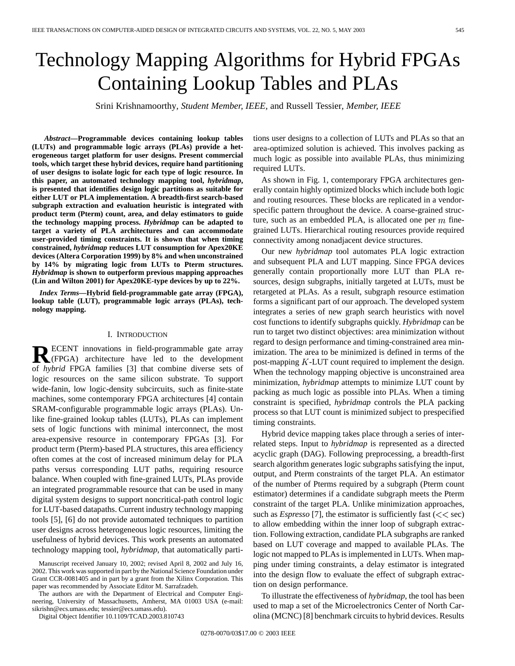# Technology Mapping Algorithms for Hybrid FPGAs Containing Lookup Tables and PLAs

Srini Krishnamoorthy*, Student Member, IEEE,* and Russell Tessier*, Member, IEEE*

*Abstract—***Programmable devices containing lookup tables (LUTs) and programmable logic arrays (PLAs) provide a heterogeneous target platform for user designs. Present commercial tools, which target these hybrid devices, require hand partitioning of user designs to isolate logic for each type of logic resource. In this paper, an automated technology mapping tool,** *hybridmap***, is presented that identifies design logic partitions as suitable for either LUT or PLA implementation. A breadth-first search-based subgraph extraction and evaluation heuristic is integrated with product term (Pterm) count, area, and delay estimators to guide the technology mapping process.** *Hybridmap* **can be adapted to target a variety of PLA architectures and can accommodate user-provided timing constraints. It is shown that when timing constrained,** *hybridmap* **reduces LUT consumption for Apex20KE devices (Altera Corporation 1999) by 8% and when unconstrained by 14% by migrating logic from LUTs to Pterm structures.** *Hybridmap* **is shown to outperform previous mapping approaches (Lin and Wilton 2001) for Apex20KE-type devices by up to 22%.**

*Index Terms—***Hybrid field-programmable gate array (FPGA), lookup table (LUT), programmable logic arrays (PLAs), technology mapping.**

#### I. INTRODUCTION

**RECENT** innovations in field-programmable gate array<br>
(FPGA) architecture have led to the development of *hybrid* FPGA families [3] that combine diverse sets of logic resources on the same silicon substrate. To support wide-fanin, low logic-density subcircuits, such as finite-state machines, some contemporary FPGA architectures [4] contain SRAM-configurable programmable logic arrays (PLAs). Unlike fine-grained lookup tables (LUTs), PLAs can implement sets of logic functions with minimal interconnect, the most area-expensive resource in contemporary FPGAs [3]. For product term (Pterm)-based PLA structures, this area efficiency often comes at the cost of increased minimum delay for PLA paths versus corresponding LUT paths, requiring resource balance. When coupled with fine-grained LUTs, PLAs provide an integrated programmable resource that can be used in many digital system designs to support noncritical-path control logic for LUT-based datapaths. Current industry technology mapping tools [5], [6] do not provide automated techniques to partition user designs across heterogeneous logic resources, limiting the usefulness of hybrid devices. This work presents an automated technology mapping tool, *hybridmap*, that automatically parti-

The authors are with the Department of Electrical and Computer Engineering, University of Massachusetts, Amherst, MA 01003 USA (e-mail: sikrishn@ecs.umass.edu; tessier@ecs.umass.edu).

Digital Object Identifier 10.1109/TCAD.2003.810743

tions user designs to a collection of LUTs and PLAs so that an area-optimized solution is achieved. This involves packing as much logic as possible into available PLAs, thus minimizing required LUTs.

As shown in Fig. 1, contemporary FPGA architectures generally contain highly optimized blocks which include both logic and routing resources. These blocks are replicated in a vendorspecific pattern throughout the device. A coarse-grained structure, such as an embedded PLA, is allocated one per  $m$  finegrained LUTs. Hierarchical routing resources provide required connectivity among nonadjacent device structures.

Our new *hybridmap* tool automates PLA logic extraction and subsequent PLA and LUT mapping. Since FPGA devices generally contain proportionally more LUT than PLA resources, design subgraphs, initially targeted at LUTs, must be retargeted at PLAs. As a result, subgraph resource estimation forms a significant part of our approach. The developed system integrates a series of new graph search heuristics with novel cost functions to identify subgraphs quickly. *Hybridmap* can be run to target two distinct objectives: area minimization without regard to design performance and timing-constrained area minimization. The area to be minimized is defined in terms of the post-mapping  $K$ -LUT count required to implement the design. When the technology mapping objective is unconstrained area minimization, *hybridmap* attempts to minimize LUT count by packing as much logic as possible into PLAs. When a timing constraint is specified, *hybridmap* controls the PLA packing process so that LUT count is minimized subject to prespecified timing constraints.

Hybrid device mapping takes place through a series of interrelated steps. Input to *hybridmap* is represented as a directed acyclic graph (DAG). Following preprocessing, a breadth-first search algorithm generates logic subgraphs satisfying the input, output, and Pterm constraints of the target PLA. An estimator of the number of Pterms required by a subgraph (Pterm count estimator) determines if a candidate subgraph meets the Pterm constraint of the target PLA. Unlike minimization approaches, such as  $Espresso$  [7], the estimator is sufficiently fast  $(<$  sec) to allow embedding within the inner loop of subgraph extraction. Following extraction, candidate PLA subgraphs are ranked based on LUT coverage and mapped to available PLAs. The logic not mapped to PLAs is implemented in LUTs. When mapping under timing constraints, a delay estimator is integrated into the design flow to evaluate the effect of subgraph extraction on design performance.

To illustrate the effectiveness of *hybridmap*, the tool has been used to map a set of the Microelectronics Center of North Carolina (MCNC) [8] benchmark circuits to hybrid devices. Results

Manuscript received January 10, 2002; revised April 8, 2002 and July 16, 2002. This work was supported in part by the National Science Foundation under Grant CCR-0081405 and in part by a grant from the Xilinx Corporation. This paper was recommended by Associate Editor M. Sarrafzadeh.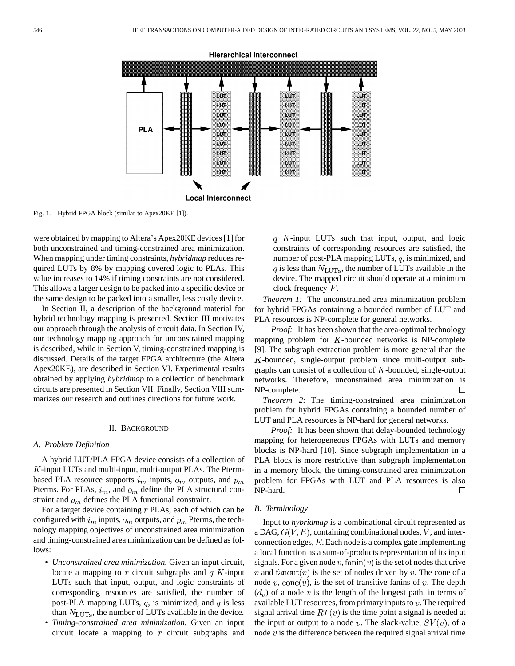

Fig. 1. Hybrid FPGA block (similar to Apex20KE [1]).

were obtained by mapping to Altera's Apex20KE devices [1] for both unconstrained and timing-constrained area minimization. When mapping under timing constraints, *hybridmap* reduces required LUTs by 8% by mapping covered logic to PLAs. This value increases to 14% if timing constraints are not considered. This allows a larger design to be packed into a specific device or the same design to be packed into a smaller, less costly device.

In Section II, a description of the background material for hybrid technology mapping is presented. Section III motivates our approach through the analysis of circuit data. In Section IV, our technology mapping approach for unconstrained mapping is described, while in Section V, timing-constrained mapping is discussed. Details of the target FPGA architecture (the Altera Apex20KE), are described in Section VI. Experimental results obtained by applying *hybridmap* to a collection of benchmark circuits are presented in Section VII. Finally, Section VIII summarizes our research and outlines directions for future work.

#### II. BACKGROUND

#### *A. Problem Definition*

A hybrid LUT/PLA FPGA device consists of a collection of -input LUTs and multi-input, multi-output PLAs. The Ptermbased PLA resource supports  $i_m$  inputs,  $o_m$  outputs, and  $p_m$ Pterms. For PLAs,  $i_m$ , and  $o_m$  define the PLA structural constraint and  $p_m$  defines the PLA functional constraint.

For a target device containing  $r$  PLAs, each of which can be configured with  $i_m$  inputs,  $o_m$  outputs, and  $p_m$  Pterms, the technology mapping objectives of unconstrained area minimization and timing-constrained area minimization can be defined as follows:

- *Unconstrained area minimization.* Given an input circuit, locate a mapping to  $r$  circuit subgraphs and  $q$  K-input LUTs such that input, output, and logic constraints of corresponding resources are satisfied, the number of post-PLA mapping LUTs,  $q$ , is minimized, and  $q$  is less than  $N_{\text{LUTs}}$ , the number of LUTs available in the device.
- *Timing-constrained area minimization.* Given an input circuit locate a mapping to  $r$  circuit subgraphs and

 $q$  K-input LUTs such that input, output, and logic constraints of corresponding resources are satisfied, the number of post-PLA mapping LUTs,  $q$ , is minimized, and q is less than  $N_{\text{LUTs}}$ , the number of LUTs available in the device. The mapped circuit should operate at a minimum clock frequency  $F$ .

*Theorem 1:* The unconstrained area minimization problem for hybrid FPGAs containing a bounded number of LUT and PLA resources is NP-complete for general networks.

*Proof:* It has been shown that the area-optimal technology mapping problem for  $K$ -bounded networks is NP-complete [9]. The subgraph extraction problem is more general than the  $K$ -bounded, single-output problem since multi-output subgraphs can consist of a collection of  $K$ -bounded, single-output networks. Therefore, unconstrained area minimization is NP-complete.  $\Box$ 

*Theorem 2:* The timing-constrained area minimization problem for hybrid FPGAs containing a bounded number of LUT and PLA resources is NP-hard for general networks.

*Proof:* It has been shown that delay-bounded technology mapping for heterogeneous FPGAs with LUTs and memory blocks is NP-hard [10]. Since subgraph implementation in a PLA block is more restrictive than subgraph implementation in a memory block, the timing-constrained area minimization problem for FPGAs with LUT and PLA resources is also NP-hard.  $\Box$ 

# *B. Terminology*

Input to *hybridmap* is a combinational circuit represented as a DAG,  $G(V, E)$ , containing combinational nodes, V, and interconnection edges,  $E$ . Each node is a complex gate implementing a local function as a sum-of-products representation of its input signals. For a given node  $v$ ,  $\tanh(v)$  is the set of nodes that drive v and fanout(v) is the set of nodes driven by v. The cone of a node  $v$ , cone(v), is the set of transitive fanins of v. The depth  $(d_v)$  of a node v is the length of the longest path, in terms of available LUT resources, from primary inputs to  $v$ . The required signal arrival time  $RT(v)$  is the time point a signal is needed at the input or output to a node v. The slack-value,  $SV(v)$ , of a node  $v$  is the difference between the required signal arrival time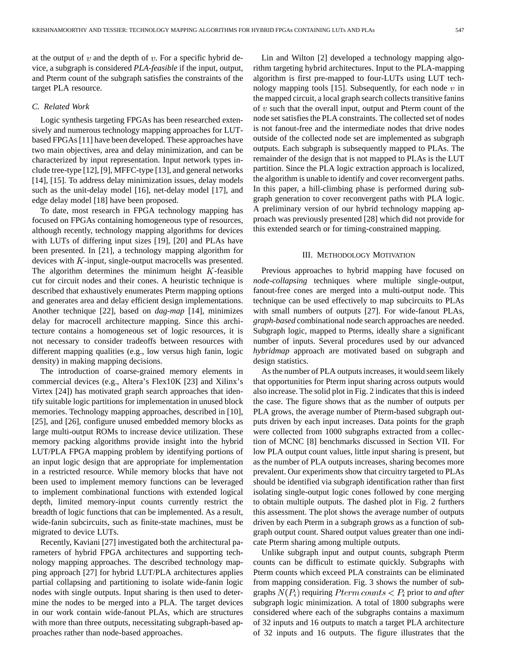at the output of  $v$  and the depth of  $v$ . For a specific hybrid device, a subgraph is considered *PLA-feasible* if the input, output, and Pterm count of the subgraph satisfies the constraints of the target PLA resource.

# *C. Related Work*

Logic synthesis targeting FPGAs has been researched extensively and numerous technology mapping approaches for LUTbased FPGAs [11] have been developed. These approaches have two main objectives, area and delay minimization, and can be characterized by input representation. Input network types include tree-type [12], [9], MFFC-type [13], and general networks [14], [15]. To address delay minimization issues, delay models such as the unit-delay model [16], net-delay model [17], and edge delay model [18] have been proposed.

To date, most research in FPGA technology mapping has focused on FPGAs containing homogeneous type of resources, although recently, technology mapping algorithms for devices with LUTs of differing input sizes [19], [20] and PLAs have been presented. In [21], a technology mapping algorithm for devices with  $K$ -input, single-output macrocells was presented. The algorithm determines the minimum height  $K$ -feasible cut for circuit nodes and their cones. A heuristic technique is described that exhaustively enumerates Pterm mapping options and generates area and delay efficient design implementations. Another technique [22], based on *dag-map* [14], minimizes delay for macrocell architecture mapping. Since this architecture contains a homogeneous set of logic resources, it is not necessary to consider tradeoffs between resources with different mapping qualities (e.g., low versus high fanin, logic density) in making mapping decisions.

The introduction of coarse-grained memory elements in commercial devices (e.g., Altera's Flex10K [23] and Xilinx's Virtex [24]) has motivated graph search approaches that identify suitable logic partitions for implementation in unused block memories. Technology mapping approaches, described in [10], [25], and [26], configure unused embedded memory blocks as large multi-output ROMs to increase device utilization. These memory packing algorithms provide insight into the hybrid LUT/PLA FPGA mapping problem by identifying portions of an input logic design that are appropriate for implementation in a restricted resource. While memory blocks that have not been used to implement memory functions can be leveraged to implement combinational functions with extended logical depth, limited memory-input counts currently restrict the breadth of logic functions that can be implemented. As a result, wide-fanin subcircuits, such as finite-state machines, must be migrated to device LUTs.

Recently, Kaviani [27] investigated both the architectural parameters of hybrid FPGA architectures and supporting technology mapping approaches. The described technology mapping approach [27] for hybrid LUT/PLA architectures applies partial collapsing and partitioning to isolate wide-fanin logic nodes with single outputs. Input sharing is then used to determine the nodes to be merged into a PLA. The target devices in our work contain wide-fanout PLAs, which are structures with more than three outputs, necessitating subgraph-based approaches rather than node-based approaches.

Lin and Wilton [2] developed a technology mapping algorithm targeting hybrid architectures. Input to the PLA-mapping algorithm is first pre-mapped to four-LUTs using LUT technology mapping tools [15]. Subsequently, for each node  $v$  in the mapped circuit, a local graph search collects transitive fanins of  $v$  such that the overall input, output and Pterm count of the node set satisfies the PLA constraints. The collected set of nodes is not fanout-free and the intermediate nodes that drive nodes outside of the collected node set are implemented as subgraph outputs. Each subgraph is subsequently mapped to PLAs. The remainder of the design that is not mapped to PLAs is the LUT partition. Since the PLA logic extraction approach is localized, the algorithm is unable to identify and cover reconvergent paths. In this paper, a hill-climbing phase is performed during subgraph generation to cover reconvergent paths with PLA logic. A preliminary version of our hybrid technology mapping approach was previously presented [28] which did not provide for this extended search or for timing-constrained mapping.

# III. METHODOLOGY MOTIVATION

Previous approaches to hybrid mapping have focused on *node-collapsing* techniques where multiple single-output, fanout-free cones are merged into a multi-output node. This technique can be used effectively to map subcircuits to PLAs with small numbers of outputs [27]. For wide-fanout PLAs, *graph-based* combinational node search approaches are needed. Subgraph logic, mapped to Pterms, ideally share a significant number of inputs. Several procedures used by our advanced *hybridmap* approach are motivated based on subgraph and design statistics.

As the number of PLA outputs increases, it would seem likely that opportunities for Pterm input sharing across outputs would also increase. The solid plot in Fig. 2 indicates that this is indeed the case. The figure shows that as the number of outputs per PLA grows, the average number of Pterm-based subgraph outputs driven by each input increases. Data points for the graph were collected from 1000 subgraphs extracted from a collection of MCNC [8] benchmarks discussed in Section VII. For low PLA output count values, little input sharing is present, but as the number of PLA outputs increases, sharing becomes more prevalent. Our experiments show that circuitry targeted to PLAs should be identified via subgraph identification rather than first isolating single-output logic cones followed by cone merging to obtain multiple outputs. The dashed plot in Fig. 2 furthers this assessment. The plot shows the average number of outputs driven by each Pterm in a subgraph grows as a function of subgraph output count. Shared output values greater than one indicate Pterm sharing among multiple outputs.

Unlike subgraph input and output counts, subgraph Pterm counts can be difficult to estimate quickly. Subgraphs with Pterm counts which exceed PLA constraints can be eliminated from mapping consideration. Fig. 3 shows the number of subgraphs  $N(P_i)$  requiring *Pterm counts*  $\langle P_i \rangle$  *prior to and after* subgraph logic minimization. A total of 1800 subgraphs were considered where each of the subgraphs contains a maximum of 32 inputs and 16 outputs to match a target PLA architecture of 32 inputs and 16 outputs. The figure illustrates that the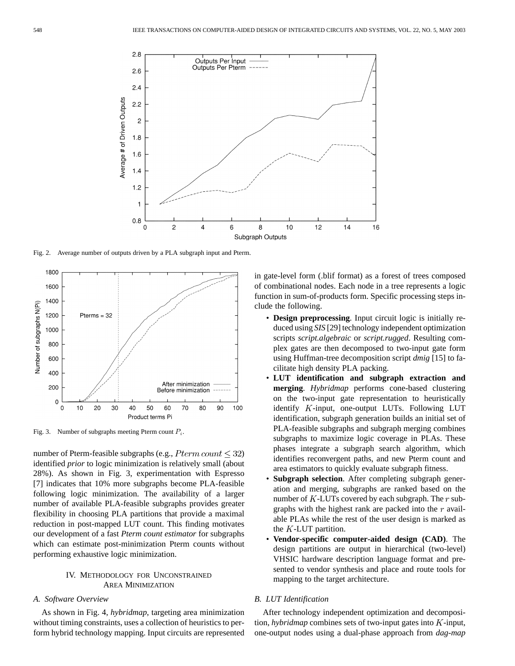

Fig. 2. Average number of outputs driven by a PLA subgraph input and Pterm.



Fig. 3. Number of subgraphs meeting Pterm count  $P_i$ .

number of Pterm-feasible subgraphs (e.g.,  $Pterm count \leq 32$ ) identified *prior* to logic minimization is relatively small (about 28%). As shown in Fig. 3, experimentation with Espresso [7] indicates that 10% more subgraphs become PLA-feasible following logic minimization. The availability of a larger number of available PLA-feasible subgraphs provides greater flexibility in choosing PLA partitions that provide a maximal reduction in post-mapped LUT count. This finding motivates our development of a fast *Pterm count estimator* for subgraphs which can estimate post-minimization Pterm counts without performing exhaustive logic minimization.

# IV. METHODOLOGY FOR UNCONSTRAINED AREA MINIMIZATION

# *A. Software Overview*

As shown in Fig. 4, *hybridmap*, targeting area minimization without timing constraints, uses a collection of heuristics to perform hybrid technology mapping. Input circuits are represented in gate-level form (.blif format) as a forest of trees composed of combinational nodes. Each node in a tree represents a logic function in sum-of-products form. Specific processing steps include the following.

- **Design preprocessing**. Input circuit logic is initially reduced using *SIS* [29] technology independent optimization scripts *script.algebraic* or *script.rugged*. Resulting complex gates are then decomposed to two-input gate form using Huffman-tree decomposition script *dmig* [15] to facilitate high density PLA packing.
- **LUT identification and subgraph extraction and merging**. *Hybridmap* performs cone-based clustering on the two-input gate representation to heuristically identify  $K$ -input, one-output LUTs. Following LUT identification, subgraph generation builds an initial set of PLA-feasible subgraphs and subgraph merging combines subgraphs to maximize logic coverage in PLAs. These phases integrate a subgraph search algorithm, which identifies reconvergent paths, and new Pterm count and area estimators to quickly evaluate subgraph fitness.
- **Subgraph selection.** After completing subgraph generation and merging, subgraphs are ranked based on the number of  $K$ -LUTs covered by each subgraph. The  $r$  subgraphs with the highest rank are packed into the  $r$  available PLAs while the rest of the user design is marked as the  $K$ -LUT partition.
- **Vendor-specific computer-aided design (CAD)**. The design partitions are output in hierarchical (two-level) VHSIC hardware description language format and presented to vendor synthesis and place and route tools for mapping to the target architecture.

# *B. LUT Identification*

After technology independent optimization and decomposition, *hybridmap* combines sets of two-input gates into  $K$ -input, one-output nodes using a dual-phase approach from *dag-map*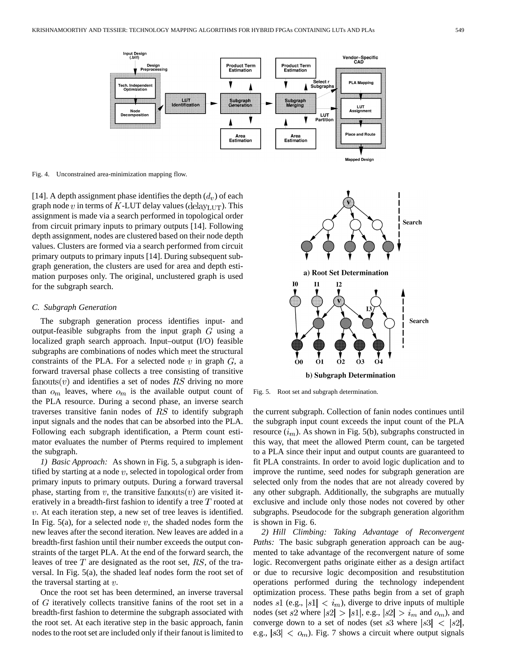

Fig. 4. Unconstrained area-minimization mapping flow.

[14]. A depth assignment phase identifies the depth  $(d_v)$  of each graph node v in terms of K-LUT delay values ( $\text{delay}_{\text{LUT}}$ ). This assignment is made via a search performed in topological order from circuit primary inputs to primary outputs [14]. Following depth assignment, nodes are clustered based on their node depth values. Clusters are formed via a search performed from circuit primary outputs to primary inputs [14]. During subsequent subgraph generation, the clusters are used for area and depth estimation purposes only. The original, unclustered graph is used for the subgraph search.

#### *C. Subgraph Generation*

The subgraph generation process identifies input- and output-feasible subgraphs from the input graph  $G$  using a localized graph search approach. Input–output (I/O) feasible subgraphs are combinations of nodes which meet the structural constraints of the PLA. For a selected node  $v$  in graph  $G$ , a forward traversal phase collects a tree consisting of transitive fanouts $(v)$  and identifies a set of nodes RS driving no more than  $o_m$  leaves, where  $o_m$  is the available output count of the PLA resource. During a second phase, an inverse search traverses transitive fanin nodes of  $RS$  to identify subgraph input signals and the nodes that can be absorbed into the PLA. Following each subgraph identification, a Pterm count estimator evaluates the number of Pterms required to implement the subgraph.

*1) Basic Approach:* As shown in Fig. 5, a subgraph is identified by starting at a node  $v$ , selected in topological order from primary inputs to primary outputs. During a forward traversal phase, starting from v, the transitive fanouts (v) are visited iteratively in a breadth-first fashion to identify a tree  $T$  rooted at  $v$ . At each iteration step, a new set of tree leaves is identified. In Fig.  $5(a)$ , for a selected node  $v$ , the shaded nodes form the new leaves after the second iteration. New leaves are added in a breadth-first fashion until their number exceeds the output constraints of the target PLA. At the end of the forward search, the leaves of tree  $T$  are designated as the root set,  $RS$ , of the traversal. In Fig. 5(a), the shaded leaf nodes form the root set of the traversal starting at  $v$ .

Once the root set has been determined, an inverse traversal of  $G$  iteratively collects transitive fanins of the root set in a breadth-first fashion to determine the subgraph associated with the root set. At each iterative step in the basic approach, fanin nodes to the root set are included only if their fanout is limited to



Fig. 5. Root set and subgraph determination.

the current subgraph. Collection of fanin nodes continues until the subgraph input count exceeds the input count of the PLA resource  $(i_m)$ . As shown in Fig. 5(b), subgraphs constructed in this way, that meet the allowed Pterm count, can be targeted to a PLA since their input and output counts are guaranteed to fit PLA constraints. In order to avoid logic duplication and to improve the runtime, seed nodes for subgraph generation are selected only from the nodes that are not already covered by any other subgraph. Additionally, the subgraphs are mutually exclusive and include only those nodes not covered by other subgraphs. Pseudocode for the subgraph generation algorithm is shown in Fig. 6.

*2) Hill Climbing: Taking Advantage of Reconvergent Paths:* The basic subgraph generation approach can be augmented to take advantage of the reconvergent nature of some logic. Reconvergent paths originate either as a design artifact or due to recursive logic decomposition and resubstitution operations performed during the technology independent optimization process. These paths begin from a set of graph nodes  $s1$  (e.g.,  $|s1| < i_m$ ), diverge to drive inputs of multiple nodes (set s2 where  $|s2| > |s1|$ , e.g.,  $|s2| > i_m$  and  $o_m$ ), and converge down to a set of nodes (set s3 where  $|s3| < |s2|$ , e.g.,  $|s3| < o_m$ ). Fig. 7 shows a circuit where output signals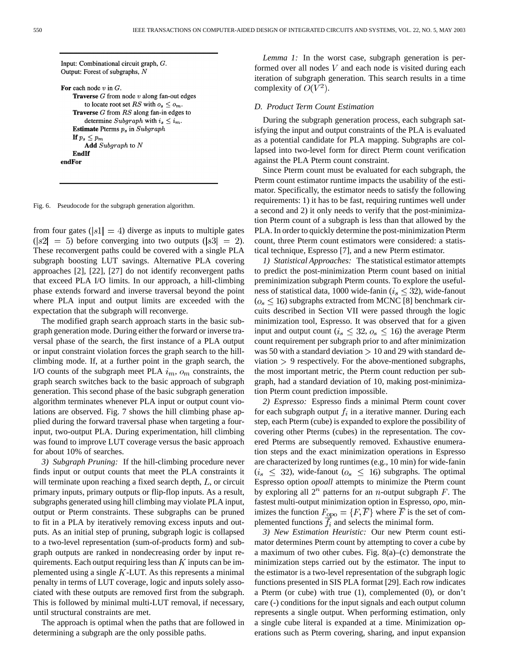Input: Combinational circuit graph, G. Output: Forest of subgraphs, N

For each node  $v$  in  $G$ . **Traverse**  $G$  from node  $v$  along fan-out edges to locate root set RS with  $o_s \leq o_m$ . **Traverse**  $G$  from  $RS$  along fan-in edges to determine Subgraph with  $i_s \leq i_m$ . **Estimate** Pterms  $p_s$  in Subgraph If  $p_s \leq p_m$ Add Subgraph to N EndIf endFor

Fig. 6. Pseudocode for the subgraph generation algorithm.

from four gates ( $|s1| = 4$ ) diverge as inputs to multiple gates  $(|s2| = 5)$  before converging into two outputs  $(|s3| = 2)$ . These reconvergent paths could be covered with a single PLA subgraph boosting LUT savings. Alternative PLA covering approaches [2], [22], [27] do not identify reconvergent paths that exceed PLA I/O limits. In our approach, a hill-climbing phase extends forward and inverse traversal beyond the point where PLA input and output limits are exceeded with the expectation that the subgraph will reconverge.

The modified graph search approach starts in the basic subgraph generation mode. During either the forward or inverse traversal phase of the search, the first instance of a PLA output or input constraint violation forces the graph search to the hillclimbing mode. If, at a further point in the graph search, the I/O counts of the subgraph meet PLA  $i_m$ ,  $o_m$  constraints, the graph search switches back to the basic approach of subgraph generation. This second phase of the basic subgraph generation algorithm terminates whenever PLA input or output count violations are observed. Fig. 7 shows the hill climbing phase applied during the forward traversal phase when targeting a fourinput, two-output PLA. During experimentation, hill climbing was found to improve LUT coverage versus the basic approach for about 10% of searches.

*3) Subgraph Pruning:* If the hill-climbing procedure never finds input or output counts that meet the PLA constraints it will terminate upon reaching a fixed search depth,  $L$ , or circuit primary inputs, primary outputs or flip-flop inputs. As a result, subgraphs generated using hill climbing may violate PLA input, output or Pterm constraints. These subgraphs can be pruned to fit in a PLA by iteratively removing excess inputs and outputs. As an initial step of pruning, subgraph logic is collapsed to a two-level representation (sum-of-products form) and subgraph outputs are ranked in nondecreasing order by input requirements. Each output requiring less than  $K$  inputs can be implemented using a single  $K$ -LUT. As this represents a minimal penalty in terms of LUT coverage, logic and inputs solely associated with these outputs are removed first from the subgraph. This is followed by minimal multi-LUT removal, if necessary, until structural constraints are met.

The approach is optimal when the paths that are followed in determining a subgraph are the only possible paths.

*Lemma 1:* In the worst case, subgraph generation is performed over all nodes  $V$  and each node is visited during each iteration of subgraph generation. This search results in a time complexity of  $O(V^2)$ .

# *D. Product Term Count Estimation*

During the subgraph generation process, each subgraph satisfying the input and output constraints of the PLA is evaluated as a potential candidate for PLA mapping. Subgraphs are collapsed into two-level form for direct Pterm count verification against the PLA Pterm count constraint.

Since Pterm count must be evaluated for each subgraph, the Pterm count estimator runtime impacts the usability of the estimator. Specifically, the estimator needs to satisfy the following requirements: 1) it has to be fast, requiring runtimes well under a second and 2) it only needs to verify that the post-minimization Pterm count of a subgraph is less than that allowed by the PLA. In order to quickly determine the post-minimization Pterm count, three Pterm count estimators were considered: a statistical technique, Espresso [7], and a new Pterm estimator.

*1) Statistical Approaches:* The statistical estimator attempts to predict the post-minimization Pterm count based on initial preminimization subgraph Pterm counts. To explore the usefulness of statistical data, 1000 wide-fanin ( $i_s \leq 32$ ), wide-fanout  $(o_s \leq 16)$  subgraphs extracted from MCNC [8] benchmark circuits described in Section VII were passed through the logic minimization tool, Espresso. It was observed that for a given input and output count ( $i_s \leq 32$ ,  $o_s \leq 16$ ) the average Pterm count requirement per subgraph prior to and after minimization was 50 with a standard deviation  $> 10$  and 29 with standard deviation  $> 9$  respectively. For the above-mentioned subgraphs, the most important metric, the Pterm count reduction per subgraph, had a standard deviation of 10, making post-minimization Pterm count prediction impossible.

*2) Espresso:* Espresso finds a minimal Pterm count cover for each subgraph output  $f_i$  in a iterative manner. During each step, each Pterm (cube) is expanded to explore the possibility of covering other Pterms (cubes) in the representation. The covered Pterms are subsequently removed. Exhaustive enumeration steps and the exact minimization operations in Espresso are characterized by long runtimes (e.g., 10 min) for wide-fanin  $(i_s \leq 32)$ , wide-fanout  $(o_s \leq 16)$  subgraphs. The optimal Espresso option *opoall* attempts to minimize the Pterm count by exploring all  $2^n$  patterns for an *n*-output subgraph  $F$ . The fastest multi-output minimization option in Espresso, *opo*, minimizes the function  $F_{\text{opo}} = \{F, \overline{F}\}\$  where  $\overline{F}$  is the set of complemented functions  $\overline{f_i}$  and selects the minimal form.

*3) New Estimation Heuristic:* Our new Pterm count estimator determines Pterm count by attempting to cover a cube by a maximum of two other cubes. Fig. 8(a)–(c) demonstrate the minimization steps carried out by the estimator. The input to the estimator is a two-level representation of the subgraph logic functions presented in SIS PLA format [29]. Each row indicates a Pterm (or cube) with true (1), complemented (0), or don't care (-) conditions for the input signals and each output column represents a single output. When performing estimation, only a single cube literal is expanded at a time. Minimization operations such as Pterm covering, sharing, and input expansion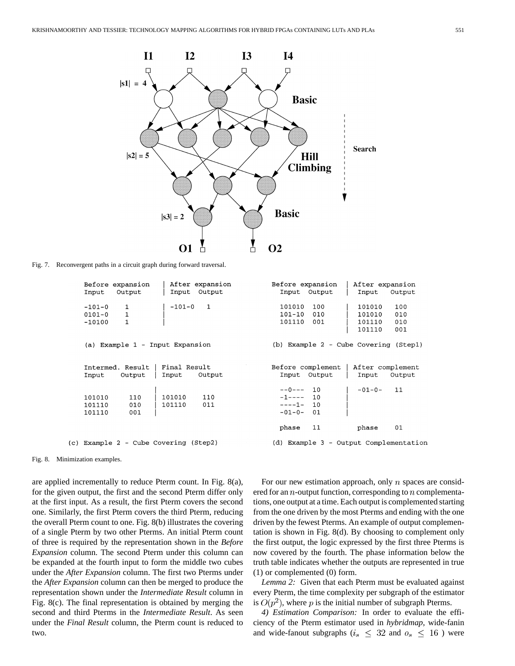

Fig. 7. Reconvergent paths in a circuit graph during forward traversal.

| After expansion<br>Before expansion<br>Input<br>Output<br>Output<br>Input         | Before expansion<br>After expansion<br>Input Output<br>Input<br>Output                                                  |
|-----------------------------------------------------------------------------------|-------------------------------------------------------------------------------------------------------------------------|
| $-101-0$ 1<br>$-101-0$<br>1<br>$\mathbf{1}$<br>$0101 - 0$<br>1<br>$-10100$        | 101010<br>100<br>101010<br>100<br>$101 - 10$<br>010<br>101010<br>010<br>101110<br>001<br>101110<br>010<br>101110<br>001 |
| (a) Example 1 - Input Expansion                                                   | (b) Example 2 - Cube Covering (Step1)                                                                                   |
| Final Result<br>Intermed. Result  <br>Input<br>Output<br>Output<br>Input          | Before complement<br>After complement<br>Input Output<br>Output<br>Input                                                |
| 110<br>110<br>101010<br>101010<br>010<br>011<br>101110<br>101110<br>001<br>101110 | $-0---10$<br>$-01 - 0 -$<br>11<br>$-1--- 10$<br>$---1- 10$<br>$-01-0-01$                                                |
|                                                                                   | 11<br>phase<br>01<br>phase                                                                                              |
| Example 2 - Cube Covering (Step2)                                                 | (d) Example 3 - Output Complementation                                                                                  |

Fig. 8. Minimization examples.

 $(c)$ 

are applied incrementally to reduce Pterm count. In Fig. 8(a), for the given output, the first and the second Pterm differ only at the first input. As a result, the first Pterm covers the second one. Similarly, the first Pterm covers the third Pterm, reducing the overall Pterm count to one. Fig. 8(b) illustrates the covering of a single Pterm by two other Pterms. An initial Pterm count of three is required by the representation shown in the *Before Expansion* column. The second Pterm under this column can be expanded at the fourth input to form the middle two cubes under the *After Expansion* column. The first two Pterms under the *After Expansion* column can then be merged to produce the representation shown under the *Intermediate Result* column in Fig. 8(c). The final representation is obtained by merging the second and third Pterms in the *Intermediate Result*. As seen under the *Final Result* column, the Pterm count is reduced to two.

For our new estimation approach, only  $n$  spaces are considered for an  $n$ -output function, corresponding to  $n$  complementations, one output at a time. Each output is complemented starting from the one driven by the most Pterms and ending with the one driven by the fewest Pterms. An example of output complementation is shown in Fig. 8(d). By choosing to complement only the first output, the logic expressed by the first three Pterms is now covered by the fourth. The phase information below the truth table indicates whether the outputs are represented in true (1) or complemented (0) form.

*Lemma 2:* Given that each Pterm must be evaluated against every Pterm, the time complexity per subgraph of the estimator is  $O(p^2)$ , where p is the initial number of subgraph Pterms.

*4) Estimation Comparison:* In order to evaluate the efficiency of the Pterm estimator used in *hybridmap*, wide-fanin and wide-fanout subgraphs ( $i_s \leq 32$  and  $o_s \leq 16$ ) were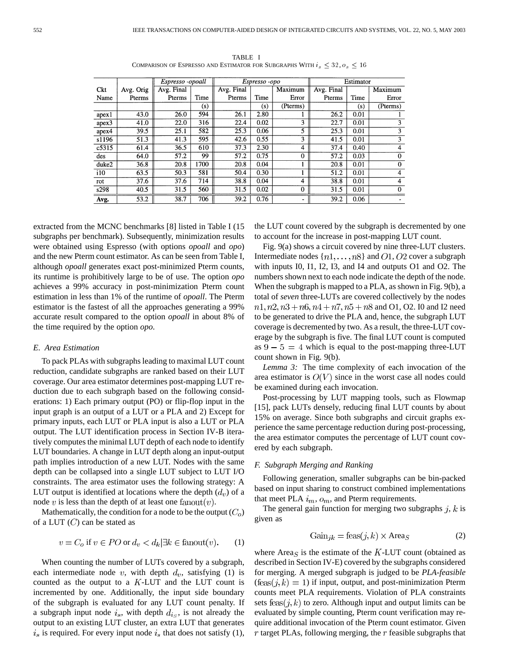|       |           | Espresso -opoall |      | Espresso-opo |      |          | Estimator  |      |          |
|-------|-----------|------------------|------|--------------|------|----------|------------|------|----------|
| Ckt   | Avg. Orig | Avg. Final       |      | Avg. Final   |      | Maximum  | Avg. Final |      | Maximum  |
| Name  | Pterms    | Pterms           | Time | Pterms       | Time | Error    | Pterms     | Time | Error    |
|       |           |                  | (s)  |              | (s)  | (Pterms) |            | (s)  | (Pterms) |
| apex1 | 43.0      | 26.0             | 594  | 26.1         | 2.80 |          | 26.2       | 0.01 |          |
| apex3 | 41.0      | 22.0             | 316  | 22.4         | 0.02 | 3        | 22.7       | 0.01 | 3        |
| apex4 | 39.5      | 25.1             | 582  | 25.3         | 0.06 | 5        | 25.3       | 0.01 | 3        |
| s1196 | 51.3      | 41.3             | 595  | 42.6         | 0.55 | 3        | 41.5       | 0.01 | 3        |
| c5315 | 61.4      | 36.5             | 610  | 37.3         | 2.30 | 4        | 37.4       | 0.40 | 4        |
| des   | 64.0      | 57.2             | 99   | 57.2         | 0.75 | $\Omega$ | 57.2       | 0.03 | 0        |
| duke2 | 36.8      | 20.8             | 1700 | 20.8         | 0.04 |          | 20.8       | 0.01 | $\Omega$ |
| i10   | 63.5      | 50.3             | 581  | 50.4         | 0.30 |          | 51.2       | 0.01 | 4        |
| rot   | 37.6      | 37.6             | 714  | 38.8         | 0.04 | 4        | 38.8       | 0.01 | 4        |
| s298  | 40.5      | 31.5             | 560  | 31.5         | 0.02 | $\bf{0}$ | 31.5       | 0.01 | 0        |
| Avg.  | 53.2      | 38.7             | 706  | 39.2         | 0.76 |          | 39.2       | 0.06 |          |

TABLE I COMPARISON OF ESPRESSO AND ESTIMATOR FOR SUBGRAPHS WITH  $i_s \leq 32, o_s \leq 16$ 

extracted from the MCNC benchmarks [8] listed in Table I (15 subgraphs per benchmark). Subsequently, minimization results were obtained using Espresso (with options *opoall* and *opo*) and the new Pterm count estimator. As can be seen from Table I, although *opoall* generates exact post-minimized Pterm counts, its runtime is prohibitively large to be of use. The option *opo* achieves a 99% accuracy in post-minimization Pterm count estimation in less than 1% of the runtime of *opoall*. The Pterm estimator is the fastest of all the approaches generating a 99% accurate result compared to the option *opoall* in about 8% of the time required by the option *opo*.

# *E. Area Estimation*

To pack PLAs with subgraphs leading to maximal LUT count reduction, candidate subgraphs are ranked based on their LUT coverage. Our area estimator determines post-mapping LUT reduction due to each subgraph based on the following considerations: 1) Each primary output (PO) or flip-flop input in the input graph is an output of a LUT or a PLA and 2) Except for primary inputs, each LUT or PLA input is also a LUT or PLA output. The LUT identification process in Section IV-B iteratively computes the minimal LUT depth of each node to identify LUT boundaries. A change in LUT depth along an input-output path implies introduction of a new LUT. Nodes with the same depth can be collapsed into a single LUT subject to LUT I/O constraints. The area estimator uses the following strategy: A LUT output is identified at locations where the depth  $(d_v)$  of a node v is less than the depth of at least one fanout(v).

Mathematically, the condition for a node to be the output  $(C<sub>o</sub>)$ of a LUT  $(C)$  can be stated as

$$
v = C_o
$$
 if  $v \in PO$  or  $d_v < d_k | \exists k \in \text{fanout}(v)$ . (1)

When counting the number of LUTs covered by a subgraph, each intermediate node  $v$ , with depth  $d_v$ , satisfying (1) is counted as the output to a  $K$ -LUT and the LUT count is incremented by one. Additionally, the input side boundary of the subgraph is evaluated for any LUT count penalty. If a subgraph input node  $i_s$ , with depth  $d_{i_s}$ , is not already the output to an existing LUT cluster, an extra LUT that generates  $i<sub>s</sub>$  is required. For every input node  $i<sub>s</sub>$  that does not satisfy (1), the LUT count covered by the subgraph is decremented by one to account for the increase in post-mapping LUT count.

Fig. 9(a) shows a circuit covered by nine three-LUT clusters. Intermediate nodes  $\{n1, \ldots, n8\}$  and  $O1, O2$  cover a subgraph with inputs I0, I1, I2, I3, and I4 and outputs O1 and O2. The numbers shown next to each node indicate the depth of the node. When the subgraph is mapped to a PLA, as shown in Fig. 9(b), a total of *seven* three-LUTs are covered collectively by the nodes  $n1, n2, n3 + n6, n4 + n7, n5 + n8$  and O1, O2. I0 and I2 need to be generated to drive the PLA and, hence, the subgraph LUT coverage is decremented by two. As a result, the three-LUT coverage by the subgraph is five. The final LUT count is computed as  $9 - 5 = 4$  which is equal to the post-mapping three-LUT count shown in Fig. 9(b).

*Lemma 3:* The time complexity of each invocation of the area estimator is  $O(V)$  since in the worst case all nodes could be examined during each invocation.

Post-processing by LUT mapping tools, such as Flowmap [15], pack LUTs densely, reducing final LUT counts by about 15% on average. Since both subgraphs and circuit graphs experience the same percentage reduction during post-processing, the area estimator computes the percentage of LUT count covered by each subgraph.

## *F. Subgraph Merging and Ranking*

Following generation, smaller subgraphs can be bin-packed based on input sharing to construct combined implementations that meet PLA  $i_m$ ,  $o_m$ , and Pterm requirements.

The general gain function for merging two subgraphs  $j, k$  is given as

$$
Gain_{ik} = f\text{eas}(j, k) \times \text{Area}_{S} \tag{2}
$$

where Area<sub>S</sub> is the estimate of the  $K$ -LUT count (obtained as described in Section IV-E) covered by the subgraphs considered for merging. A merged subgraph is judged to be *PLA-feasible*  $(\text{feas}(j, k) = 1)$  if input, output, and post-minimization Pterm counts meet PLA requirements. Violation of PLA constraints sets feas $(j, k)$  to zero. Although input and output limits can be evaluated by simple counting, Pterm count verification may require additional invocation of the Pterm count estimator. Given  $r$  target PLAs, following merging, the  $r$  feasible subgraphs that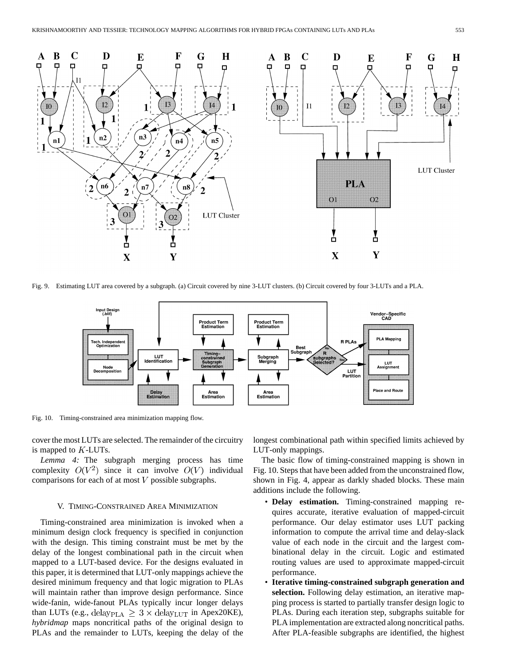

Fig. 9. Estimating LUT area covered by a subgraph. (a) Circuit covered by nine 3-LUT clusters. (b) Circuit covered by four 3-LUTs and a PLA.



Fig. 10. Timing-constrained area minimization mapping flow.

cover the most LUTs are selected. The remainder of the circuitry is mapped to  $K$ -LUTs.

*Lemma 4:* The subgraph merging process has time complexity  $O(V^2)$  since it can involve  $O(V)$  individual comparisons for each of at most  $V$  possible subgraphs.

#### V. TIMING-CONSTRAINED AREA MINIMIZATION

Timing-constrained area minimization is invoked when a minimum design clock frequency is specified in conjunction with the design. This timing constraint must be met by the delay of the longest combinational path in the circuit when mapped to a LUT-based device. For the designs evaluated in this paper, it is determined that LUT-only mappings achieve the desired minimum frequency and that logic migration to PLAs will maintain rather than improve design performance. Since wide-fanin, wide-fanout PLAs typically incur longer delays than LUTs (e.g., delay $_{\rm PLA} \geq 3 \times$  delay $_{\rm LUT}$  in Apex20KE), *hybridmap* maps noncritical paths of the original design to PLAs and the remainder to LUTs, keeping the delay of the

longest combinational path within specified limits achieved by LUT-only mappings.

The basic flow of timing-constrained mapping is shown in Fig. 10. Steps that have been added from the unconstrained flow, shown in Fig. 4, appear as darkly shaded blocks. These main additions include the following.

- **Delay estimation.** Timing-constrained mapping requires accurate, iterative evaluation of mapped-circuit performance. Our delay estimator uses LUT packing information to compute the arrival time and delay-slack value of each node in the circuit and the largest combinational delay in the circuit. Logic and estimated routing values are used to approximate mapped-circuit performance.
- **Iterative timing-constrained subgraph generation and selection.** Following delay estimation, an iterative mapping process is started to partially transfer design logic to PLAs. During each iteration step, subgraphs suitable for PLA implementation are extracted along noncritical paths. After PLA-feasible subgraphs are identified, the highest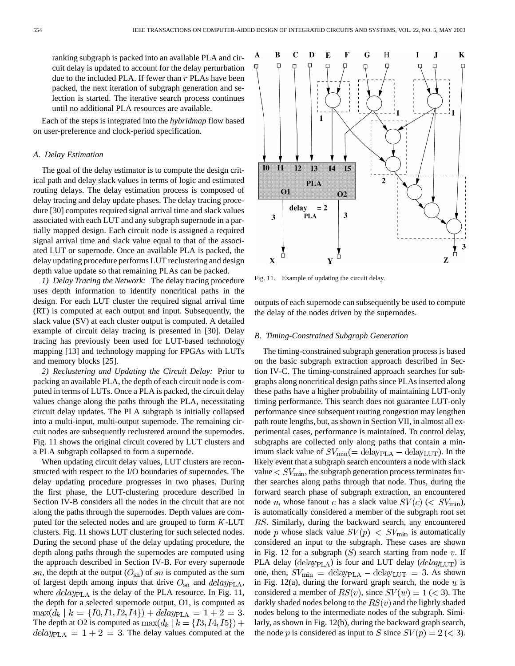ranking subgraph is packed into an available PLA and circuit delay is updated to account for the delay perturbation due to the included PLA. If fewer than  $r$  PLAs have been packed, the next iteration of subgraph generation and selection is started. The iterative search process continues until no additional PLA resources are available.

Each of the steps is integrated into the *hybridmap* flow based on user-preference and clock-period specification.

## *A. Delay Estimation*

The goal of the delay estimator is to compute the design critical path and delay slack values in terms of logic and estimated routing delays. The delay estimation process is composed of delay tracing and delay update phases. The delay tracing procedure [30] computes required signal arrival time and slack values associated with each LUT and any subgraph supernode in a partially mapped design. Each circuit node is assigned a required signal arrival time and slack value equal to that of the associated LUT or supernode. Once an available PLA is packed, the delay updating procedure performs LUT reclustering and design depth value update so that remaining PLAs can be packed.

*1) Delay Tracing the Network:* The delay tracing procedure uses depth information to identify noncritical paths in the design. For each LUT cluster the required signal arrival time (RT) is computed at each output and input. Subsequently, the slack value (SV) at each cluster output is computed. A detailed example of circuit delay tracing is presented in [30]. Delay tracing has previously been used for LUT-based technology mapping [13] and technology mapping for FPGAs with LUTs and memory blocks [25].

*2) Reclustering and Updating the Circuit Delay:* Prior to packing an available PLA, the depth of each circuit node is computed in terms of LUTs. Once a PLA is packed, the circuit delay values change along the paths through the PLA, necessitating circuit delay updates. The PLA subgraph is initially collapsed into a multi-input, multi-output supernode. The remaining circuit nodes are subsequently reclustered around the supernodes. Fig. 11 shows the original circuit covered by LUT clusters and a PLA subgraph collapsed to form a supernode.

When updating circuit delay values, LUT clusters are reconstructed with respect to the I/O boundaries of supernodes. The delay updating procedure progresses in two phases. During the first phase, the LUT-clustering procedure described in Section IV-B considers all the nodes in the circuit that are not along the paths through the supernodes. Depth values are computed for the selected nodes and are grouped to form  $K$ -LUT clusters. Fig. 11 shows LUT clustering for such selected nodes. During the second phase of the delay updating procedure, the depth along paths through the supernodes are computed using the approach described in Section IV-B. For every supernode sn, the depth at the output  $(O_{sn})$  of sn is computed as the sum of largest depth among inputs that drive  $O_{\rm sn}$  and  $delay_{\rm PLA}$ , where  $delay<sub>PLA</sub>$  is the delay of the PLA resource. In Fig. 11, the depth for a selected supernode output, O1, is computed as  $\max(d_k | k = \{I0, I1, I2, I4\}) + delay_{\text{PLA}} = 1 + 2 = 3.$ The depth at O2 is computed as  $\max(d_k | k = \{I3, I4, I5\}) +$  $delay<sub>PLA</sub> = 1 + 2 = 3$ . The delay values computed at the



Fig. 11. Example of updating the circuit delay.

outputs of each supernode can subsequently be used to compute the delay of the nodes driven by the supernodes.

#### *B. Timing-Constrained Subgraph Generation*

The timing-constrained subgraph generation process is based on the basic subgraph extraction approach described in Section IV-C. The timing-constrained approach searches for subgraphs along noncritical design paths since PLAs inserted along these paths have a higher probability of maintaining LUT-only timing performance. This search does not guarantee LUT-only performance since subsequent routing congestion may lengthen path route lengths, but, as shown in Section VII, in almost all experimental cases, performance is maintained. To control delay, subgraphs are collected only along paths that contain a minimum slack value of  $SV_{\text{min}}(=$  delay<sub>PLA</sub> - delay<sub>LUT</sub>). In the likely event that a subgraph search encounters a node with slack value  $\langle SV_{\text{min}}$ , the subgraph generation process terminates further searches along paths through that node. Thus, during the forward search phase of subgraph extraction, an encountered node u, whose fanout c has a slack value  $SV(c)$  (<  $SV_{\text{min}}$ ), is automatically considered a member of the subgraph root set RS. Similarly, during the backward search, any encountered node p whose slack value  $SV(p) < SV_{\text{min}}$  is automatically considered an input to the subgraph. These cases are shown in Fig. 12 for a subgraph  $(S)$  search starting from node v. If PLA delay ( $\text{delay}_{\text{PLA}}$ ) is four and LUT delay ( $\text{delay}_{\text{LUT}}$ ) is one, then,  $SV_{\text{min}} = \text{delay}_{\text{PLA}} - \text{delay}_{\text{LUT}} = 3$ . As shown in Fig. 12(a), during the forward graph search, the node  $u$  is considered a member of  $RS(v)$ , since  $SV(w) = 1 \, (<\, 3)$ . The darkly shaded nodes belong to the  $RS(v)$  and the lightly shaded nodes belong to the intermediate nodes of the subgraph. Similarly, as shown in Fig. 12(b), during the backward graph search, the node p is considered as input to S since  $SV(p) = 2 \, (<\, 3)$ .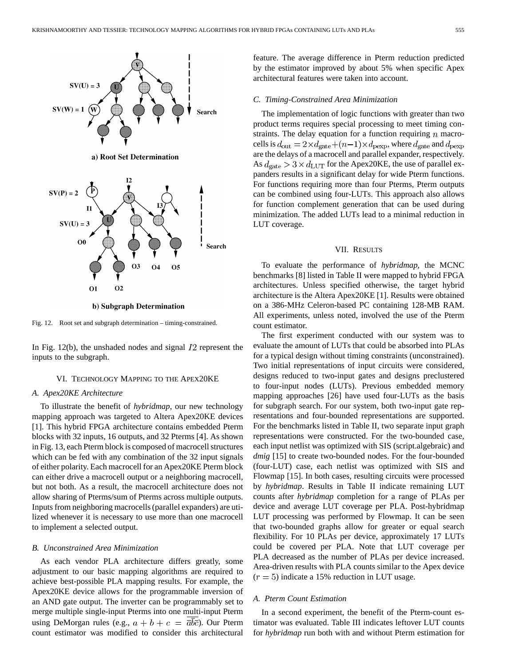

b) Subgraph Determination

Fig. 12. Root set and subgraph determination – timing-constrained.

In Fig. 12(b), the unshaded nodes and signal  $I2$  represent the inputs to the subgraph.

#### VI. TECHNOLOGY MAPPING TO THE APEX20KE

## *A. Apex20KE Architecture*

To illustrate the benefit of *hybridmap*, our new technology mapping approach was targeted to Altera Apex20KE devices [1]. This hybrid FPGA architecture contains embedded Pterm blocks with 32 inputs, 16 outputs, and 32 Pterms [4]. As shown in Fig. 13, each Pterm block is composed of macrocell structures which can be fed with any combination of the 32 input signals of either polarity. Each macrocell for an Apex20KE Pterm block can either drive a macrocell output or a neighboring macrocell, but not both. As a result, the macrocell architecture does not allow sharing of Pterms/sum of Pterms across multiple outputs. Inputs from neighboring macrocells (parallel expanders) are utilized whenever it is necessary to use more than one macrocell to implement a selected output.

## *B. Unconstrained Area Minimization*

As each vendor PLA architecture differs greatly, some adjustment to our basic mapping algorithms are required to achieve best-possible PLA mapping results. For example, the Apex20KE device allows for the programmable inversion of an AND gate output. The inverter can be programmably set to merge multiple single-input Pterms into one multi-input Pterm using DeMorgan rules (e.g.,  $a + b + c = \overline{a} \overline{b} \overline{c}$ ). Our Pterm count estimator was modified to consider this architectural feature. The average difference in Pterm reduction predicted by the estimator improved by about 5% when specific Apex architectural features were taken into account.

# *C. Timing-Constrained Area Minimization*

The implementation of logic functions with greater than two product terms requires special processing to meet timing constraints. The delay equation for a function requiring  $n$  macrocells is  $d_{\text{out}} = 2 \times d_{\text{gate}} + (n-1) \times d_{\text{pexp}}$ , where  $d_{\text{gate}}$  and  $d_{\text{pexp}}$ are the delays of a macrocell and parallel expander, respectively. As  $d_{\text{gate}} > 3 \times d_{\text{LUT}}$  for the Apex20KE, the use of parallel expanders results in a significant delay for wide Pterm functions. For functions requiring more than four Pterms, Pterm outputs can be combined using four-LUTs. This approach also allows for function complement generation that can be used during minimization. The added LUTs lead to a minimal reduction in LUT coverage.

# VII. RESULTS

To evaluate the performance of *hybridmap*, the MCNC benchmarks [8] listed in Table II were mapped to hybrid FPGA architectures. Unless specified otherwise, the target hybrid architecture is the Altera Apex20KE [1]. Results were obtained on a 386-MHz Celeron-based PC containing 128-MB RAM. All experiments, unless noted, involved the use of the Pterm count estimator.

The first experiment conducted with our system was to evaluate the amount of LUTs that could be absorbed into PLAs for a typical design without timing constraints (unconstrained). Two initial representations of input circuits were considered, designs reduced to two-input gates and designs preclustered to four-input nodes (LUTs). Previous embedded memory mapping approaches [26] have used four-LUTs as the basis for subgraph search. For our system, both two-input gate representations and four-bounded representations are supported. For the benchmarks listed in Table II, two separate input graph representations were constructed. For the two-bounded case, each input netlist was optimized with SIS (script.algebraic) and *dmig* [15] to create two-bounded nodes. For the four-bounded (four-LUT) case, each netlist was optimized with SIS and Flowmap [15]. In both cases, resulting circuits were processed by *hybridmap*. Results in Table II indicate remaining LUT counts after *hybridmap* completion for a range of PLAs per device and average LUT coverage per PLA. Post-hybridmap LUT processing was performed by Flowmap. It can be seen that two-bounded graphs allow for greater or equal search flexibility. For 10 PLAs per device, approximately 17 LUTs could be covered per PLA. Note that LUT coverage per PLA decreased as the number of PLAs per device increased. Area-driven results with PLA counts similar to the Apex device  $(r = 5)$  indicate a 15% reduction in LUT usage.

## *A. Pterm Count Estimation*

In a second experiment, the benefit of the Pterm-count estimator was evaluated. Table III indicates leftover LUT counts for *hybridmap* run both with and without Pterm estimation for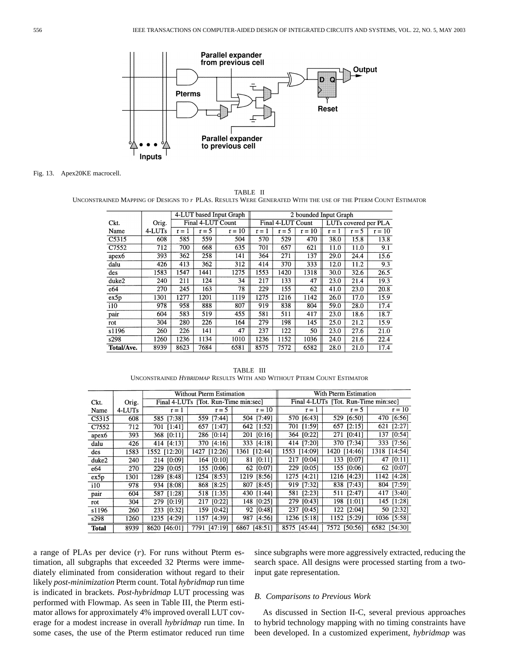

## Fig. 13. Apex20KE macrocell.

TABLE II UNCONSTRAINED MAPPING OF DESIGNS TO r PLAS. RESULTS WERE GENERATED WITH THE USE OF THE PTERM COUNT ESTIMATOR

|                   |        | 4-LUT based Input Graph |         |          | 2 bounded Input Graph |                   |          |                      |         |          |  |
|-------------------|--------|-------------------------|---------|----------|-----------------------|-------------------|----------|----------------------|---------|----------|--|
| Ckt.              | Orig.  | Final 4-LUT Count       |         |          |                       | Final 4-LUT Count |          | LUTs covered per PLA |         |          |  |
| Name              | 4-LUTs | $r =$                   | $r = 5$ | $r = 10$ | $r =$                 | 5<br>$r =$        | $r = 10$ | $r = 1$              | $r = 5$ | $r = 10$ |  |
| C5315             | 608    | 585                     | 559     | 504      | 570                   | 529               | 470      | 38.0                 | 15.8    | 13.8     |  |
| C <sub>7552</sub> | 712    | 700                     | 668     | 635      | 701                   | 657               | 621      | 11.0                 | 11.0    | 9.1      |  |
| apex <sub>6</sub> | 393    | 362                     | 258     | 141      | 364                   | 271               | 137      | 29.0                 | 24.4    | 15.6     |  |
| dalu              | 426    | 413                     | 362     | 312      | 414                   | 370               | 333      | 12.0                 | 11.2    | 9.3      |  |
| des               | 1583   | 1547                    | 1441    | 1275     | 1553                  | 1420              | 1318     | 30.0                 | 32.6    | 26.5     |  |
| duke2             | 240    | 211                     | 124     | 34       | 217                   | 133               | 47       | 23.0                 | 21.4    | 19.3     |  |
| e64               | 270    | 245                     | 163     | 78       | 229                   | 155               | 62       | 41.0                 | 23.0    | 20.8     |  |
| ex5p              | 1301   | 1277                    | 1201    | 1119     | 1275                  | 1216              | 1142     | 26.0                 | 17.0    | 15.9     |  |
| i10               | 978    | 958                     | 888     | 807      | 919                   | 838               | 804      | 59.0                 | 28.0    | 17.4     |  |
| pair              | 604    | 583                     | 519     | 455      | 581                   | 511               | 417      | 23.0                 | 18.6    | 18.7     |  |
| rot               | 304    | 280                     | 226     | 164      | 279                   | 198               | 145      | 25.0                 | 21.2    | 15.9     |  |
| s1196             | 260    | 226                     | 141     | 47       | 237                   | 122               | 50       | 23.0                 | 27.6    | 21.0     |  |
| s298              | 1260   | 1236                    | 1134    | 1010     | 1236                  | 1152              | 1036     | 24.0                 | 21.6    | 22.4     |  |
| Total/Ave.        | 8939   | 8623                    | 7684    | 6581     | 8575                  | 7572              | 6582     | 28.0                 | 21.0    | 17.4     |  |

TABLE III UNCONSTRAINED *HYBRIDMAP* RESULTS WITH AND WITHOUT PTERM COUNT ESTIMATOR

|              |        |              | <b>Without Pterm Estimation</b>      |              | With Pterm Estimation                |              |               |  |
|--------------|--------|--------------|--------------------------------------|--------------|--------------------------------------|--------------|---------------|--|
| Ckt.         | Orig.  |              | Final 4-LUTs [Tot. Run-Time min:sec] |              | Final 4-LUTs [Tot. Run-Time min:sec] |              |               |  |
| Name         | 4-LUTs | $r = 1$      | $r = 5$                              | $r = 10$     | $r = 1$                              | $r = 5$      | $r = 10$      |  |
| C5315        | 608    | 585 [7:38]   | 559 [7:44]                           | 504 [7:49]   | 570 [6:43]                           | 529 [6:50]   | 470 [6:56]    |  |
| C7552        | 712    | 701 [1:41]   | 657 [1:47]                           | 642 [1:52]   | 701 [1:59]                           | 657 [2:15]   | 621 [2:27]    |  |
| apex6        | 393    | 368 [0:11]   | 286 [0:14]                           | 201 [0:16]   | 364 [0:22]                           | 271 [0:41]   | 137 [0:54]    |  |
| dalu         | 426    | 414 [4:13]   | 370 [4:16]                           | 333 [4:18]   | 414 [7:20]                           | 370 [7:34]   | 333 [7:56]    |  |
| des          | 1583   | 1552 [12:20] | 1427 [12:26]                         | 1361 [12:44] | 1553 [14:09]                         | 1420 [14:46] | 1318 [14:54]  |  |
| duke2        | 240    | 214 [0:09]   | 164 [0:10]                           | 81 [0:11]    | 217 [0:04]                           | 133 [0:07]   | 47 [0:11]     |  |
| e64          | 270    | 229 [0:05]   | 155 [0:06]                           | 62 [0:07]    | 229 [0:05]                           | 155 [0:06]   | 62 [0:07]     |  |
| ex5p         | 1301   | 1289 [8:48]  | 1254 [8:53]                          | 1219 [8:56]  | 1275 [4:21]                          | 1216 [4:23]  | 1142 [4:28]   |  |
| i10          | 978    | 934 [8:08]   | 868 [8:25]                           | 807 [8:45]   | 919 [7:32]                           | 838 [7:43]   | 804 [7:59]    |  |
| pair         | 604    | 587 [1:28]   | 518 [1:35]                           | 430 [1:44]   | 581 [2:23]                           | 511 [2:47]   | [3:40]<br>417 |  |
| rot          | 304    | 279 [0:19]   | 217 [0:22]                           | 148 [0:25]   | 279 [0:43]                           | 198 [1:01]   | 145 [1:28]    |  |
| s1196        | 260    | 233 [0:32]   | 159 [0:42]                           | 92 [0:48]    | 237 [0:45]                           | 122 [2:04]   | 50 [2:32]     |  |
| s298         | 1260   | 1235 [4:29]  | 1157 [4:39]                          | 987 [4:56]   | 1236 [5:18]                          | 1152 [5:29]  | 1036 [5:58]   |  |
| <b>Total</b> | 8939   | 8620 146:011 | 7791 [47:19]                         | 6867 [48:51] | 8575 [45:44]                         | 7572 [50:56] | 6582 [54:30]  |  |

a range of PLAs per device  $(r)$ . For runs without Pterm estimation, all subgraphs that exceeded 32 Pterms were immediately eliminated from consideration without regard to their likely *post-minimization* Pterm count. Total *hybridmap* run time is indicated in brackets. *Post-hybridmap* LUT processing was performed with Flowmap. As seen in Table III, the Pterm estimator allows for approximately 4% improved overall LUT coverage for a modest increase in overall *hybridmap* run time. In some cases, the use of the Pterm estimator reduced run time

since subgraphs were more aggressively extracted, reducing the search space. All designs were processed starting from a twoinput gate representation.

# *B. Comparisons to Previous Work*

As discussed in Section II-C, several previous approaches to hybrid technology mapping with no timing constraints have been developed. In a customized experiment, *hybridmap* was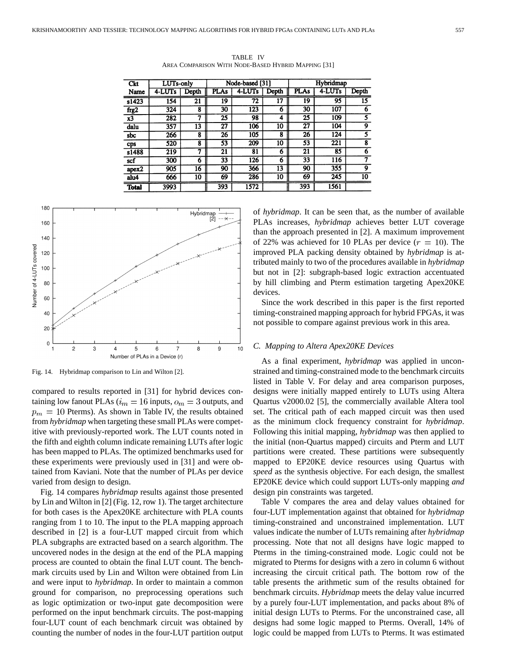| <b>Ckt</b> | LUTs-only |       |             | Hybridmap<br>Node-based [31] |       |             |        |       |
|------------|-----------|-------|-------------|------------------------------|-------|-------------|--------|-------|
| Name       | 4-LUTs    | Depth | <b>PLAs</b> | 4-LUTs                       | Depth | <b>PLAs</b> | 4-LUTs | Depth |
| s1423      | 154       | 21    | 19          | 72                           | 17    | 19          | 95     | 15    |
| frg2       | 324       | 8     | 30          | 123                          | 6     | 30          | 107    | 6     |
| x3         | 282       | 7     | 25          | 98                           | 4     | 25          | 109    | 5     |
| dalu       | 357       | 13    | 27          | 106                          | 10    | 27          | 104    | 9     |
| sbc        | 266       | 8     | 26          | 105                          | 8     | 26          | 124    |       |
| cps        | 520       | 8     | 53          | 209                          | 10    | 53          | 221    | 8     |
| s1488      | 219       | 7     | 21          | 81                           | 6     | 21          | 85     | 6     |
| scf        | 300       | 6     | 33          | 126                          | 6     | 33          | 116    | 7     |
| apex2      | 905       | 16    | 90          | 366                          | 13    | 90          | 355    | 9     |
| alu4       | 666       | 10    | 69          | 286                          | 10    | 69          | 245    | 10    |
| Total      | 3993      |       | 393         | 1572                         |       | 393         | 1561   |       |

TABLE IV AREA COMPARISON WITH NODE-BASED HYBRID MAPPING [31]



Fig. 14. Hybridmap comparison to Lin and Wilton [2].

compared to results reported in [31] for hybrid devices containing low fanout PLAs ( $i_m = 16$  inputs,  $o_m = 3$  outputs, and  $p_m = 10$  Pterms). As shown in Table IV, the results obtained from *hybridmap* when targeting these small PLAs were competitive with previously-reported work. The LUT counts noted in the fifth and eighth column indicate remaining LUTs after logic has been mapped to PLAs. The optimized benchmarks used for these experiments were previously used in [31] and were obtained from Kaviani. Note that the number of PLAs per device varied from design to design.

Fig. 14 compares *hybridmap* results against those presented by Lin and Wilton in [2] (Fig. 12, row 1). The target architecture for both cases is the Apex20KE architecture with PLA counts ranging from 1 to 10. The input to the PLA mapping approach described in [2] is a four-LUT mapped circuit from which PLA subgraphs are extracted based on a search algorithm. The uncovered nodes in the design at the end of the PLA mapping process are counted to obtain the final LUT count. The benchmark circuits used by Lin and Wilton were obtained from Lin and were input to *hybridmap*. In order to maintain a common ground for comparison, no preprocessing operations such as logic optimization or two-input gate decomposition were performed on the input benchmark circuits. The post-mapping four-LUT count of each benchmark circuit was obtained by counting the number of nodes in the four-LUT partition output of *hybridmap*. It can be seen that, as the number of available PLAs increases, *hybridmap* achieves better LUT coverage than the approach presented in [2]. A maximum improvement of 22% was achieved for 10 PLAs per device  $(r = 10)$ . The improved PLA packing density obtained by *hybridmap* is attributed mainly to two of the procedures available in *hybridmap* but not in [2]: subgraph-based logic extraction accentuated by hill climbing and Pterm estimation targeting Apex20KE devices.

Since the work described in this paper is the first reported timing-constrained mapping approach for hybrid FPGAs, it was not possible to compare against previous work in this area.

# *C. Mapping to Altera Apex20KE Devices*

As a final experiment, *hybridmap* was applied in unconstrained and timing-constrained mode to the benchmark circuits listed in Table V. For delay and area comparison purposes, designs were initially mapped entirely to LUTs using Altera Quartus v2000.02 [5], the commercially available Altera tool set. The critical path of each mapped circuit was then used as the minimum clock frequency constraint for *hybridmap*. Following this initial mapping, *hybridmap* was then applied to the initial (non-Quartus mapped) circuits and Pterm and LUT partitions were created. These partitions were subsequently mapped to EP20KE device resources using Quartus with *speed* as the synthesis objective. For each design, the smallest EP20KE device which could support LUTs-only mapping *and* design pin constraints was targeted.

Table V compares the area and delay values obtained for four-LUT implementation against that obtained for *hybridmap* timing-constrained and unconstrained implementation. LUT values indicate the number of LUTs remaining after *hybridmap* processing. Note that not all designs have logic mapped to Pterms in the timing-constrained mode. Logic could not be migrated to Pterms for designs with a zero in column 6 without increasing the circuit critical path. The bottom row of the table presents the arithmetic sum of the results obtained for benchmark circuits. *Hybridmap* meets the delay value incurred by a purely four-LUT implementation, and packs about 8% of initial design LUTs to Pterms. For the unconstrained case, all designs had some logic mapped to Pterms. Overall, 14% of logic could be mapped from LUTs to Pterms. It was estimated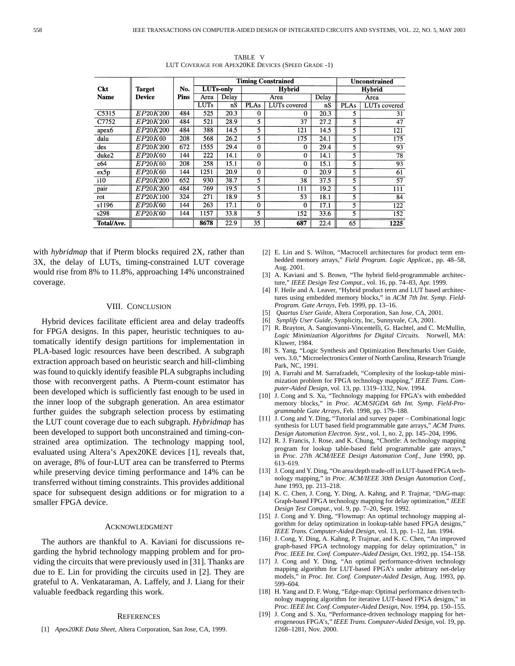|             |               |      | <b>Timing Constrained</b> |                  |             |              | <b>Unconstrained</b> |               |                 |
|-------------|---------------|------|---------------------------|------------------|-------------|--------------|----------------------|---------------|-----------------|
| <b>Ckt</b>  | <b>Target</b> | No.  |                           | <b>LUTs-only</b> | Hybrid      |              |                      | <b>Hybrid</b> |                 |
| <b>Name</b> | Device        | Pins | Area                      | Delay            |             | Area         | Delay                | Area          |                 |
|             |               |      | <b>LUTs</b>               | nS               | <b>PLAs</b> | LUTs covered | nS                   | <b>PLAs</b>   | LUTs covered    |
| C5315       | EP20K200      | 484  | 525                       | 20.3             | $\Omega$    | 0            | 20.3                 | 5             | 31              |
| C7752       | EP20K200      | 484  | 521                       | 28.9             | 5           | 37           | 27.2                 | 5             | 47              |
| apex6       | EP20K200      | 484  | 388                       | 14.5             | 5           | 121          | 14.5                 | 5             | 121             |
| dalu        | EP20K60       | 208  | 568                       | 26.2             | 5           | 175          | 24.1                 | 5             | 175             |
| des         | EP20K200      | 672  | 1555                      | 29.4             | $\Omega$    | $\Omega$     | 29.4                 | 5             | 93              |
| duke2       | EP20K60       | 144  | 222                       | 14.1             | $\Omega$    | $\Omega$     | 14.1                 | 5             | 78              |
| e64         | EP20K60       | 208  | 258                       | 15.1             | $\Omega$    | $\Omega$     | 15.1                 | 5             | 93              |
| ex5p        | EP20K60       | 144  | 1251                      | 20.9             | $\Omega$    | $\Omega$     | 20.9                 | 5             | 61              |
| i10         | EP20K200      | 652  | 930                       | 38.7             | 5           | 38           | 37.5                 | 5             | $\overline{57}$ |
| pair        | EP20K200      | 484  | 769                       | 19.5             | 5           | 111          | 19.2                 | 5             | 111             |
| rot         | EP20K100      | 324  | 271                       | 18.9             | 5           | 53           | 18.1                 | 5             | 84              |
| s1196       | EP20K60       | 144  | 263                       | 17.1             | 0           | $\mathbf{0}$ | 17.1                 | 5             | 122             |
| s298        | EP20K60       | 144  | 1157                      | 33.8             | 5           | 152          | 33.6                 | 5             | 152             |
| Total/Ave.  |               |      | 8678                      | 22.9             | 35          | 687          | 22.4                 | 65            | 1225            |

TABLE V LUT COVERAGE FOR APEX20KE DEVICES (SPEED GRADE -1)

with *hybridmap* that if Pterm blocks required 2X, rather than 3X, the delay of LUTs, timing-constrained LUT coverage would rise from 8% to 11.8%, approaching 14% unconstrained coverage.

# VIII. CONCLUSION

Hybrid devices facilitate efficient area and delay tradeoffs for FPGA designs. In this paper, heuristic techniques to automatically identify design partitions for implementation in PLA-based logic resources have been described. A subgraph extraction approach based on heuristic search and hill-climbing was found to quickly identify feasible PLA subgraphs including those with reconvergent paths. A Pterm-count estimator has been developed which is sufficiently fast enough to be used in the inner loop of the subgraph generation. An area estimator further guides the subgraph selection process by estimating the LUT count coverage due to each subgraph. *Hybridmap* has been developed to support both unconstrained and timing-constrained area optimization. The technology mapping tool, evaluated using Altera's Apex20KE devices [1], reveals that, on average, 8% of four-LUT area can be transferred to Pterms while preserving device timing performance and 14% can be transferred without timing constraints. This provides additional space for subsequent design additions or for migration to a smaller FPGA device.

# ACKNOWLEDGMENT

The authors are thankful to A. Kaviani for discussions regarding the hybrid technology mapping problem and for providing the circuits that were previously used in [31]. Thanks are due to E. Lin for providing the circuits used in [2]. They are grateful to A. Venkataraman, A. Laffely, and J. Liang for their valuable feedback regarding this work.

#### **REFERENCES**

- [2] E. Lin and S. Wilton, "Macrocell architectures for product term embedded memory arrays," *Field Program. Logic Applicat.*, pp. 48–58, Aug. 2001.
- [3] A. Kaviani and S. Brown, "The hybrid field-programmable architecture," *IEEE Design Test Comput.*, vol. 16, pp. 74–83, Apr. 1999.
- [4] F. Heile and A. Leaver, "Hybrid product term and LUT based architectures using embedded memory blocks," in *ACM 7th Int. Symp. Field-Program. Gate Arrays*, Feb. 1999, pp. 13–16.
- [5] *Quartus User Guide*, Altera Corporation, San Jose, CA, 2001.
- [6] *Synplify User Guide*, Synplicity, Inc, Sunnyvale, CA, 2001.
- [7] R. Brayton, A. Sangiovanni-Vincentelli, G. Hachtel, and C. McMullin, *Logic Minimization Algorithms for Digital Circuits*. Norwell, MA: Kluwer, 1984.
- [8] S. Yang, "Logic Synthesis and Optimization Benchmarks User Guide, vers. 3.0," Microelectronics Center of North Carolina, Research Triangle Park, NC, 1991.
- [9] A. Farrahi and M. Sarrafzadeh, "Complexity of the lookup-table minimization problem for FPGA technology mapping," *IEEE Trans. Computer-Aided Design*, vol. 13, pp. 1319–1332, Nov. 1994.
- [10] J. Cong and S. Xu, "Technology mapping for FPGA's with embedded memory blocks," in *Proc. ACM/SIGDA 6th Int. Symp. Field-Programmable Gate Arrays*, Feb. 1998, pp. 179–188.
- [11] J. Cong and Y. Ding, "Tutorial and survey paper Combinational logic synthesis for LUT based field programmable gate arrays," *ACM Trans. Design Automation Electron. Syst.*, vol. 1, no. 2, pp. 145–204, 1996.
- [12] R. J. Francis, J. Rose, and K. Chung, "Chortle: A technology mapping program for lookup table-based field programmable gate arrays," in *Proc. 27th ACM/IEEE Design Automation Conf.*, June 1990, pp. 613–619.
- [13] J. Cong and Y. Ding, "On area/depth trade-off in LUT-based FPGA technology mapping," in *Proc. ACM/IEEE 30th Design Automation Conf.*, June 1993, pp. 213–218.
- [14] K. C. Chen, J. Cong, Y. Ding, A. Kahng, and P. Trajmar, "DAG-map: Graph-based FPGA technology mapping for delay optimization," *IEEE Design Test Comput.*, vol. 9, pp. 7–20, Sept. 1992.
- [15] J. Cong and Y. Ding, "Flowmap: An optimal technology mapping algorithm for delay optimization in lookup-table based FPGA designs," *IEEE Trans. Computer-Aided Design*, vol. 13, pp. 1–12, Jan. 1994.
- [16] J. Cong, Y. Ding, A. Kahng, P. Trajmar, and K. C. Chen, "An improved graph-based FPGA technology mapping for delay optimization," in *Proc. IEEE Int. Conf. Computer-Aided Design*, Oct. 1992, pp. 154–158.
- [17] J. Cong and Y. Ding, "An optimal performance-driven technology mapping algorithm for LUT-based FPGA's under arbitrary net-delay models," in *Proc. Int. Conf. Computer-Aided Design*, Aug. 1993, pp. 599–604.
- [18] H. Yang and D. F. Wong, "Edge-map: Optimal performance driven technology mapping algorithm for iterative LUT-based FPGA designs," in *Proc. IEEE Int. Conf. Computer-Aided Design*, Nov. 1994, pp. 150–155.
- [19] J. Cong and S. Xu, "Performance-driven technology mapping for heterogeneous FPGA's," *IEEE Trans. Computer-Aided Design*, vol. 19, pp. 1268–1281, Nov. 2000.